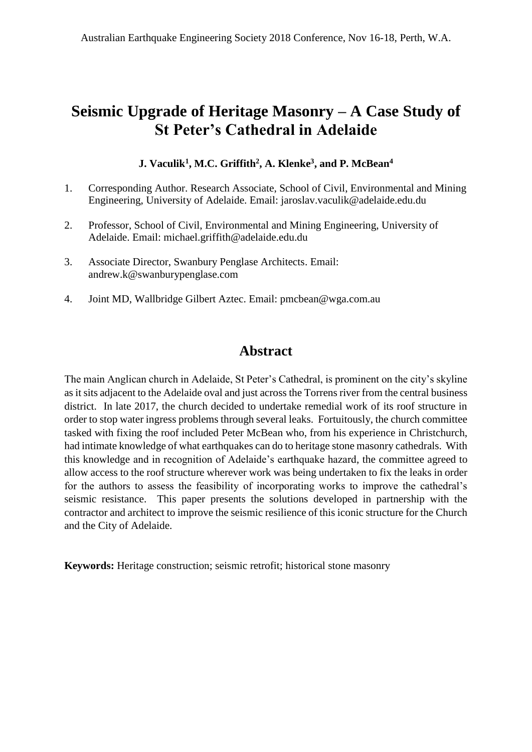# **Seismic Upgrade of Heritage Masonry – A Case Study of St Peter's Cathedral in Adelaide**

**J. Vaculik<sup>1</sup> , M.C. Griffith<sup>2</sup> , A. Klenke<sup>3</sup> , and P. McBean<sup>4</sup>**

- 1. Corresponding Author. Research Associate, School of Civil, Environmental and Mining Engineering, University of Adelaide. Email: jaroslav.vaculik@adelaide.edu.du
- 2. Professor, School of Civil, Environmental and Mining Engineering, University of Adelaide. Email: michael.griffith@adelaide.edu.du
- 3. Associate Director, Swanbury Penglase Architects. Email: andrew.k@swanburypenglase.com
- 4. Joint MD, Wallbridge Gilbert Aztec. Email: pmcbean@wga.com.au

# **Abstract**

The main Anglican church in Adelaide, St Peter's Cathedral, is prominent on the city's skyline as it sits adjacent to the Adelaide oval and just across the Torrens river from the central business district. In late 2017, the church decided to undertake remedial work of its roof structure in order to stop water ingress problems through several leaks. Fortuitously, the church committee tasked with fixing the roof included Peter McBean who, from his experience in Christchurch, had intimate knowledge of what earthquakes can do to heritage stone masonry cathedrals. With this knowledge and in recognition of Adelaide's earthquake hazard, the committee agreed to allow access to the roof structure wherever work was being undertaken to fix the leaks in order for the authors to assess the feasibility of incorporating works to improve the cathedral's seismic resistance. This paper presents the solutions developed in partnership with the contractor and architect to improve the seismic resilience of this iconic structure for the Church and the City of Adelaide.

**Keywords:** Heritage construction; seismic retrofit; historical stone masonry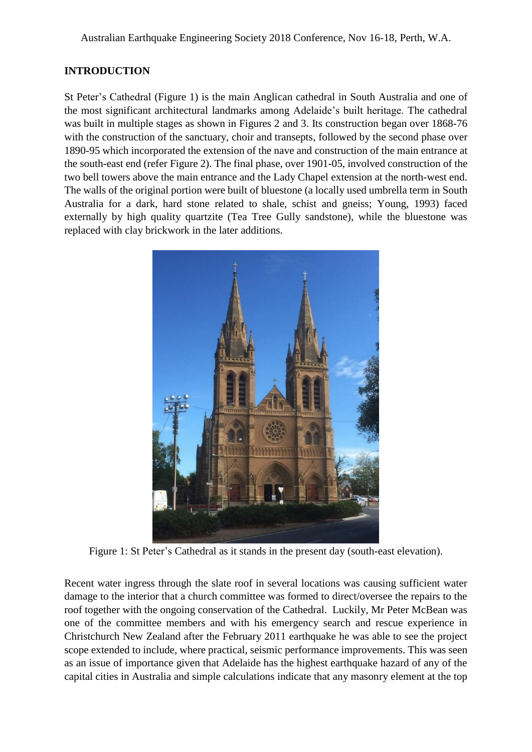## **INTRODUCTION**

St Peter's Cathedral (Figure 1) is the main Anglican cathedral in South Australia and one of the most significant architectural landmarks among Adelaide's built heritage. The cathedral was built in multiple stages as shown in Figures 2 and 3. Its construction began over 1868-76 with the construction of the sanctuary, choir and transepts, followed by the second phase over 1890-95 which incorporated the extension of the nave and construction of the main entrance at the south-east end (refer Figure 2). The final phase, over 1901-05, involved construction of the two bell towers above the main entrance and the Lady Chapel extension at the north-west end. The walls of the original portion were built of bluestone (a locally used umbrella term in South Australia for a dark, hard stone related to shale, schist and gneiss; Young, 1993) faced externally by high quality quartzite (Tea Tree Gully sandstone), while the bluestone was replaced with clay brickwork in the later additions.



Figure 1: St Peter's Cathedral as it stands in the present day (south-east elevation).

Recent water ingress through the slate roof in several locations was causing sufficient water damage to the interior that a church committee was formed to direct/oversee the repairs to the roof together with the ongoing conservation of the Cathedral. Luckily, Mr Peter McBean was one of the committee members and with his emergency search and rescue experience in Christchurch New Zealand after the February 2011 earthquake he was able to see the project scope extended to include, where practical, seismic performance improvements. This was seen as an issue of importance given that Adelaide has the highest earthquake hazard of any of the capital cities in Australia and simple calculations indicate that any masonry element at the top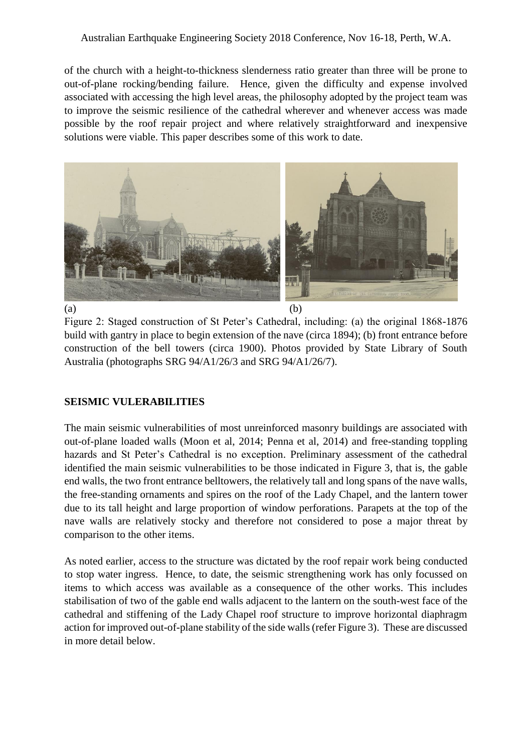#### Australian Earthquake Engineering Society 2018 Conference, Nov 16-18, Perth, W.A.

of the church with a height-to-thickness slenderness ratio greater than three will be prone to out-of-plane rocking/bending failure. Hence, given the difficulty and expense involved associated with accessing the high level areas, the philosophy adopted by the project team was to improve the seismic resilience of the cathedral wherever and whenever access was made possible by the roof repair project and where relatively straightforward and inexpensive solutions were viable. This paper describes some of this work to date.



Figure 2: Staged construction of St Peter's Cathedral, including: (a) the original 1868-1876 build with gantry in place to begin extension of the nave (circa 1894); (b) front entrance before construction of the bell towers (circa 1900). Photos provided by State Library of South Australia (photographs SRG 94/A1/26/3 and SRG 94/A1/26/7).

#### **SEISMIC VULERABILITIES**

The main seismic vulnerabilities of most unreinforced masonry buildings are associated with out-of-plane loaded walls (Moon et al, 2014; Penna et al, 2014) and free-standing toppling hazards and St Peter's Cathedral is no exception. Preliminary assessment of the cathedral identified the main seismic vulnerabilities to be those indicated in Figure 3, that is, the gable end walls, the two front entrance belltowers, the relatively tall and long spans of the nave walls, the free-standing ornaments and spires on the roof of the Lady Chapel, and the lantern tower due to its tall height and large proportion of window perforations. Parapets at the top of the nave walls are relatively stocky and therefore not considered to pose a major threat by comparison to the other items.

As noted earlier, access to the structure was dictated by the roof repair work being conducted to stop water ingress. Hence, to date, the seismic strengthening work has only focussed on items to which access was available as a consequence of the other works. This includes stabilisation of two of the gable end walls adjacent to the lantern on the south-west face of the cathedral and stiffening of the Lady Chapel roof structure to improve horizontal diaphragm action for improved out-of-plane stability of the side walls (refer Figure 3). These are discussed in more detail below.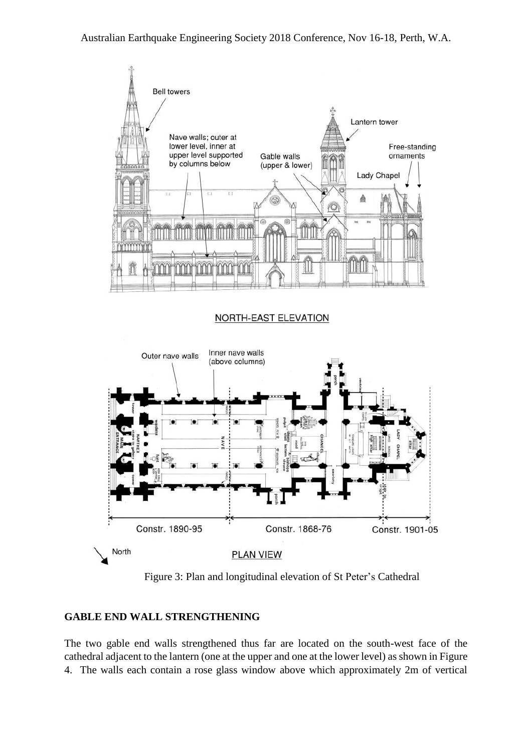

Figure 3: Plan and longitudinal elevation of St Peter's Cathedral

#### **GABLE END WALL STRENGTHENING**

The two gable end walls strengthened thus far are located on the south-west face of the cathedral adjacent to the lantern (one at the upper and one at the lower level) as shown in Figure 4. The walls each contain a rose glass window above which approximately 2m of vertical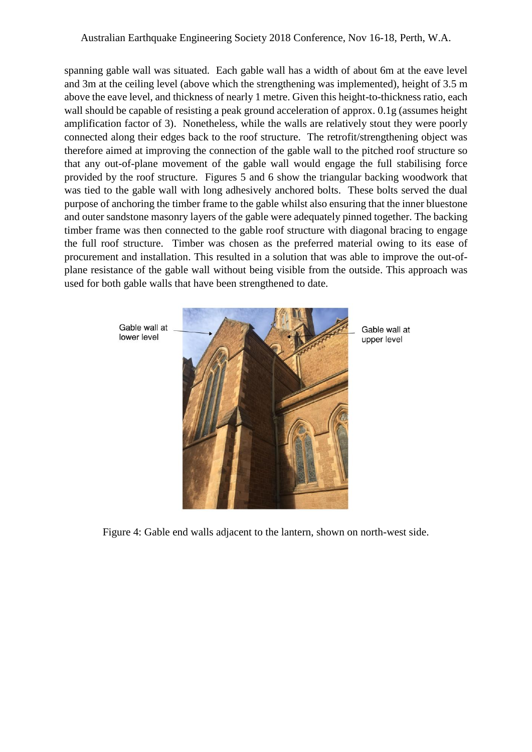spanning gable wall was situated. Each gable wall has a width of about 6m at the eave level and 3m at the ceiling level (above which the strengthening was implemented), height of 3.5 m above the eave level, and thickness of nearly 1 metre. Given this height-to-thickness ratio, each wall should be capable of resisting a peak ground acceleration of approx. 0.1g (assumes height amplification factor of 3). Nonetheless, while the walls are relatively stout they were poorly connected along their edges back to the roof structure. The retrofit/strengthening object was therefore aimed at improving the connection of the gable wall to the pitched roof structure so that any out-of-plane movement of the gable wall would engage the full stabilising force provided by the roof structure. Figures 5 and 6 show the triangular backing woodwork that was tied to the gable wall with long adhesively anchored bolts. These bolts served the dual purpose of anchoring the timber frame to the gable whilst also ensuring that the inner bluestone and outer sandstone masonry layers of the gable were adequately pinned together. The backing timber frame was then connected to the gable roof structure with diagonal bracing to engage the full roof structure. Timber was chosen as the preferred material owing to its ease of procurement and installation. This resulted in a solution that was able to improve the out-ofplane resistance of the gable wall without being visible from the outside. This approach was used for both gable walls that have been strengthened to date.



Gable wall at upper level

Figure 4: Gable end walls adjacent to the lantern, shown on north-west side.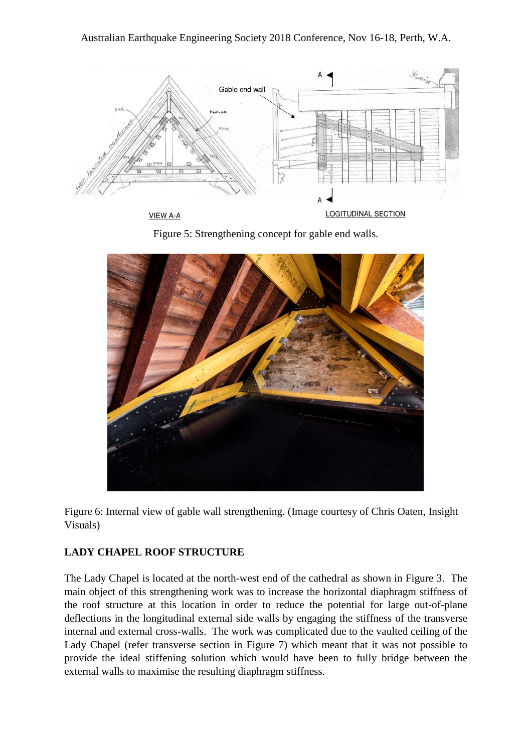

**VIEW A-A** 

LOGITUDINAL SECTION





Figure 6: Internal view of gable wall strengthening. (Image courtesy of Chris Oaten, Insight Visuals)

#### **LADY CHAPEL ROOF STRUCTURE**

The Lady Chapel is located at the north-west end of the cathedral as shown in Figure 3. The main object of this strengthening work was to increase the horizontal diaphragm stiffness of the roof structure at this location in order to reduce the potential for large out-of-plane deflections in the longitudinal external side walls by engaging the stiffness of the transverse internal and external cross-walls. The work was complicated due to the vaulted ceiling of the Lady Chapel (refer transverse section in Figure 7) which meant that it was not possible to provide the ideal stiffening solution which would have been to fully bridge between the external walls to maximise the resulting diaphragm stiffness.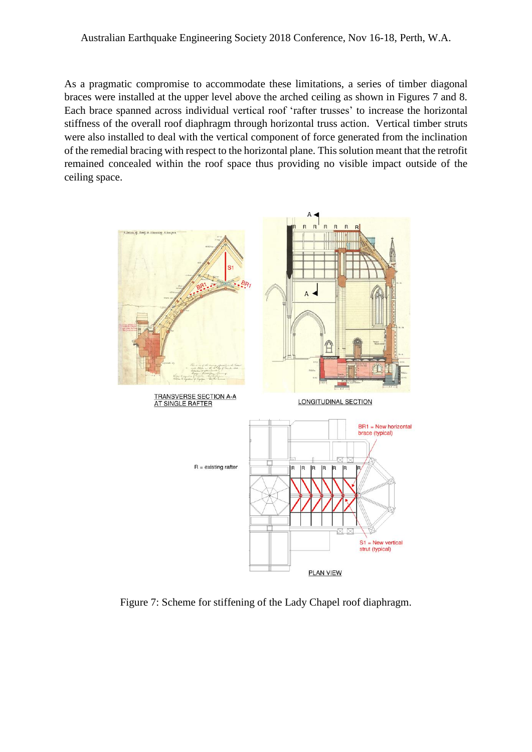As a pragmatic compromise to accommodate these limitations, a series of timber diagonal braces were installed at the upper level above the arched ceiling as shown in Figures 7 and 8. Each brace spanned across individual vertical roof 'rafter trusses' to increase the horizontal stiffness of the overall roof diaphragm through horizontal truss action. Vertical timber struts were also installed to deal with the vertical component of force generated from the inclination of the remedial bracing with respect to the horizontal plane. This solution meant that the retrofit remained concealed within the roof space thus providing no visible impact outside of the ceiling space.



Figure 7: Scheme for stiffening of the Lady Chapel roof diaphragm.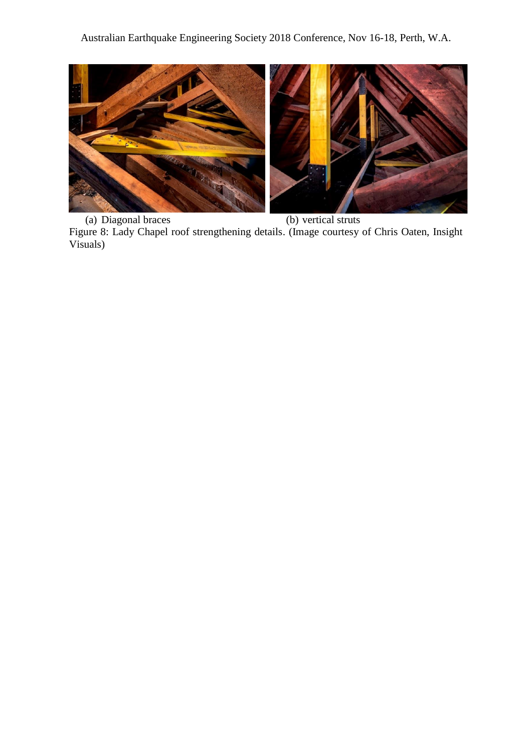

(a) Diagonal braces (b) vertical struts Figure 8: Lady Chapel roof strengthening details. (Image courtesy of Chris Oaten, Insight Visuals)